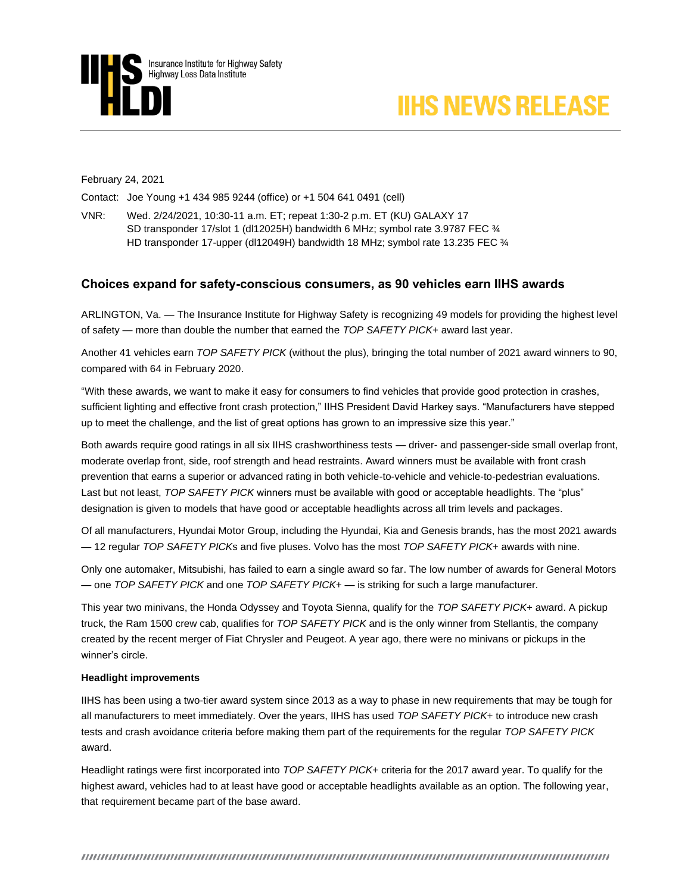



February 24, 2021

Contact: Joe Young +1 434 985 9244 (office) or +1 504 641 0491 (cell)

VNR: Wed. 2/24/2021, 10:30-11 a.m. ET; repeat 1:30-2 p.m. ET (KU) GALAXY 17 SD transponder 17/slot 1 (dl12025H) bandwidth 6 MHz; symbol rate 3.9787 FEC ¾ HD transponder 17-upper (dl12049H) bandwidth 18 MHz; symbol rate 13.235 FEC ¾

## **Choices expand for safety-conscious consumers, as 90 vehicles earn IIHS awards**

ARLINGTON, Va. — The Insurance Institute for Highway Safety is recognizing 49 models for providing the highest level of safety — more than double the number that earned the *TOP SAFETY PICK*+ award last year.

Another 41 vehicles earn *TOP SAFETY PICK* (without the plus), bringing the total number of 2021 award winners to 90, compared with 64 in February 2020.

"With these awards, we want to make it easy for consumers to find vehicles that provide good protection in crashes, sufficient lighting and effective front crash protection," IIHS President David Harkey says. "Manufacturers have stepped up to meet the challenge, and the list of great options has grown to an impressive size this year."

Both awards require good ratings in all six IIHS crashworthiness tests — driver- and passenger-side small overlap front, moderate overlap front, side, roof strength and head restraints. Award winners must be available with front crash prevention that earns a superior or advanced rating in both vehicle-to-vehicle and vehicle-to-pedestrian evaluations. Last but not least, *TOP SAFETY PICK* winners must be available with good or acceptable headlights. The "plus" designation is given to models that have good or acceptable headlights across all trim levels and packages.

Of all manufacturers, Hyundai Motor Group, including the Hyundai, Kia and Genesis brands, has the most 2021 awards — 12 regular *TOP SAFETY PICK*s and five pluses. Volvo has the most *TOP SAFETY PICK*+ awards with nine.

Only one automaker, Mitsubishi, has failed to earn a single award so far. The low number of awards for General Motors — one *TOP SAFETY PICK* and one *TOP SAFETY PICK*+ — is striking for such a large manufacturer.

This year two minivans, the Honda Odyssey and Toyota Sienna, qualify for the *TOP SAFETY PICK*+ award. A pickup truck, the Ram 1500 crew cab, qualifies for *TOP SAFETY PICK* and is the only winner from Stellantis, the company created by the recent merger of Fiat Chrysler and Peugeot. A year ago, there were no minivans or pickups in the winner's circle.

### **Headlight improvements**

IIHS has been using a two-tier award system since 2013 as a way to phase in new requirements that may be tough for all manufacturers to meet immediately. Over the years, IIHS has used *TOP SAFETY PICK*+ to introduce new crash tests and crash avoidance criteria before making them part of the requirements for the regular *TOP SAFETY PICK* award.

Headlight ratings were first incorporated into *TOP SAFETY PICK*+ criteria for the 2017 award year. To qualify for the highest award, vehicles had to at least have good or acceptable headlights available as an option. The following year, that requirement became part of the base award.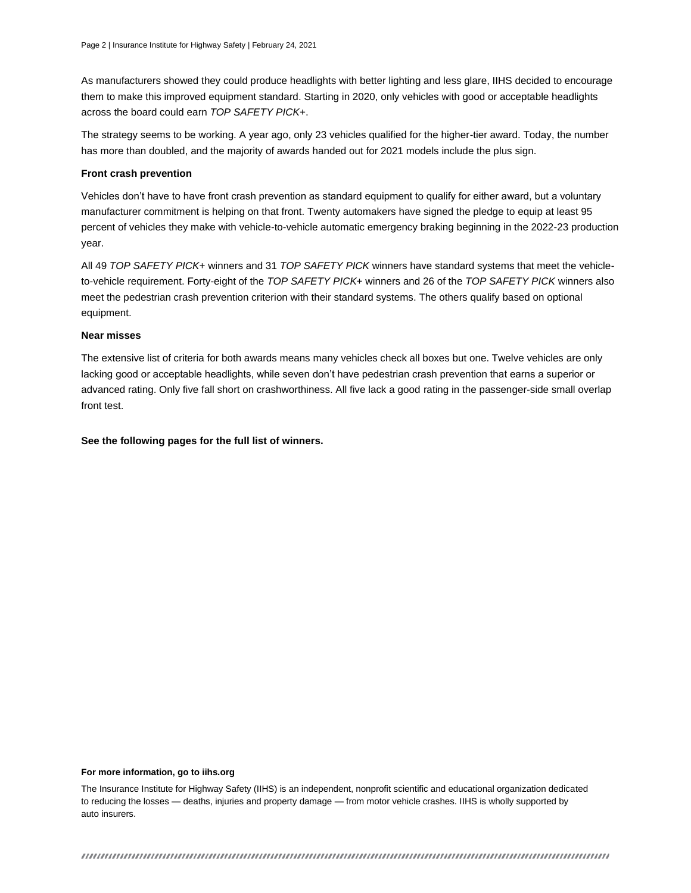As manufacturers showed they could produce headlights with better lighting and less glare, IIHS decided to encourage them to make this improved equipment standard. Starting in 2020, only vehicles with good or acceptable headlights across the board could earn *TOP SAFETY PICK*+.

The strategy seems to be working. A year ago, only 23 vehicles qualified for the higher-tier award. Today, the number has more than doubled, and the majority of awards handed out for 2021 models include the plus sign.

#### **Front crash prevention**

Vehicles don't have to have front crash prevention as standard equipment to qualify for either award, but a voluntary manufacturer commitment is helping on that front. Twenty automakers have signed the pledge to equip at least 95 percent of vehicles they make with vehicle-to-vehicle automatic emergency braking beginning in the 2022-23 production year.

All 49 *TOP SAFETY PICK*+ winners and 31 *TOP SAFETY PICK* winners have standard systems that meet the vehicleto-vehicle requirement. Forty-eight of the *TOP SAFETY PICK*+ winners and 26 of the *TOP SAFETY PICK* winners also meet the pedestrian crash prevention criterion with their standard systems. The others qualify based on optional equipment.

#### **Near misses**

The extensive list of criteria for both awards means many vehicles check all boxes but one. Twelve vehicles are only lacking good or acceptable headlights, while seven don't have pedestrian crash prevention that earns a superior or advanced rating. Only five fall short on crashworthiness. All five lack a good rating in the passenger-side small overlap front test.

**See the following pages for the full list of winners.**

#### **For more information, go to iihs.org**

The Insurance Institute for Highway Safety (IIHS) is an independent, nonprofit scientific and educational organization dedicated to reducing the losses — deaths, injuries and property damage — from motor vehicle crashes. IIHS is wholly supported by auto insurers.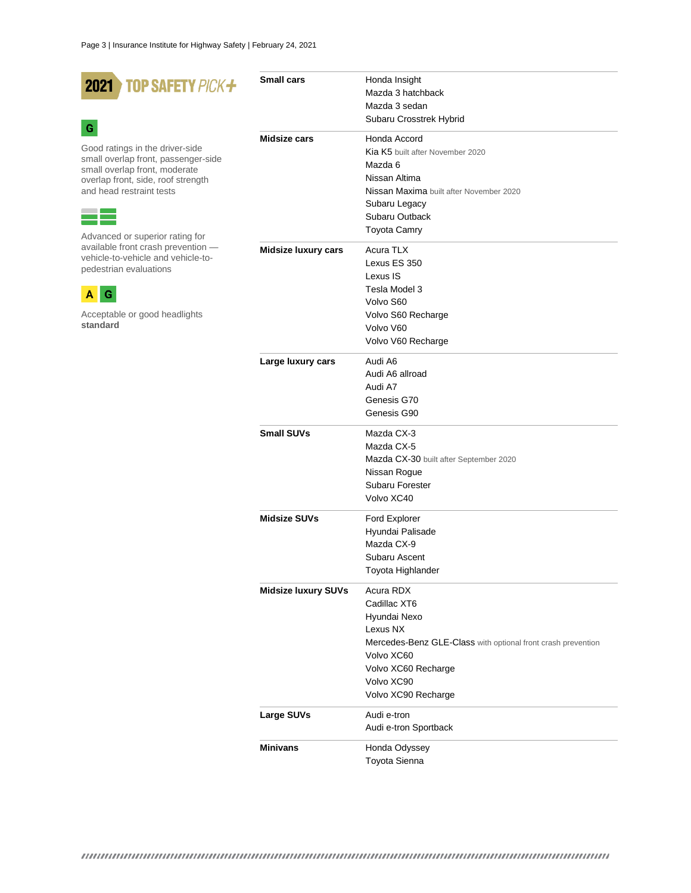| <b>TOP SAFETY PICK+</b><br>2021                                          | <b>Small cars</b>          | Honda Insight                                                |
|--------------------------------------------------------------------------|----------------------------|--------------------------------------------------------------|
|                                                                          |                            | Mazda 3 hatchback                                            |
|                                                                          |                            | Mazda 3 sedan                                                |
| G                                                                        |                            | Subaru Crosstrek Hybrid                                      |
|                                                                          | Midsize cars               | Honda Accord                                                 |
| Good ratings in the driver-side                                          |                            | Kia K5 built after November 2020                             |
| small overlap front, passenger-side                                      |                            | Mazda 6                                                      |
| small overlap front, moderate<br>overlap front, side, roof strength      |                            | Nissan Altima                                                |
| and head restraint tests                                                 |                            | Nissan Maxima built after November 2020                      |
|                                                                          |                            | Subaru Legacy                                                |
|                                                                          |                            | Subaru Outback                                               |
|                                                                          |                            | <b>Toyota Camry</b>                                          |
| Advanced or superior rating for                                          |                            |                                                              |
| available front crash prevention -<br>vehicle-to-vehicle and vehicle-to- | <b>Midsize luxury cars</b> | Acura TLX                                                    |
| pedestrian evaluations                                                   |                            | Lexus ES 350                                                 |
|                                                                          |                            | Lexus IS                                                     |
| G<br>А                                                                   |                            | Tesla Model 3                                                |
|                                                                          |                            | Volvo S60                                                    |
| Acceptable or good headlights                                            |                            | Volvo S60 Recharge                                           |
| standard                                                                 |                            | Volvo V60                                                    |
|                                                                          |                            | Volvo V60 Recharge                                           |
|                                                                          | Large luxury cars          | Audi A6                                                      |
|                                                                          |                            |                                                              |
|                                                                          |                            | Audi A6 allroad                                              |
|                                                                          |                            | Audi A7                                                      |
|                                                                          |                            | Genesis G70                                                  |
|                                                                          |                            | Genesis G90                                                  |
|                                                                          | <b>Small SUVs</b>          | Mazda CX-3                                                   |
|                                                                          |                            | Mazda CX-5                                                   |
|                                                                          |                            | Mazda CX-30 built after September 2020                       |
|                                                                          |                            | Nissan Rogue                                                 |
|                                                                          |                            | Subaru Forester                                              |
|                                                                          |                            | Volvo XC40                                                   |
|                                                                          | <b>Midsize SUVs</b>        | Ford Explorer                                                |
|                                                                          |                            | Hyundai Palisade                                             |
|                                                                          |                            | Mazda CX-9                                                   |
|                                                                          |                            | Subaru Ascent                                                |
|                                                                          |                            |                                                              |
|                                                                          |                            | Toyota Highlander                                            |
|                                                                          | <b>Midsize luxury SUVs</b> | Acura RDX                                                    |
|                                                                          |                            | Cadillac XT6                                                 |
|                                                                          |                            | Hyundai Nexo                                                 |
|                                                                          |                            | Lexus NX                                                     |
|                                                                          |                            | Mercedes-Benz GLE-Class with optional front crash prevention |
|                                                                          |                            | Volvo XC60                                                   |
|                                                                          |                            | Volvo XC60 Recharge                                          |
|                                                                          |                            | Volvo XC90                                                   |
|                                                                          |                            | Volvo XC90 Recharge                                          |
|                                                                          | Large SUVs                 | Audi e-tron                                                  |
|                                                                          |                            | Audi e-tron Sportback                                        |
|                                                                          |                            |                                                              |
|                                                                          | <b>Minivans</b>            | Honda Odyssey                                                |

Toyota Sienna